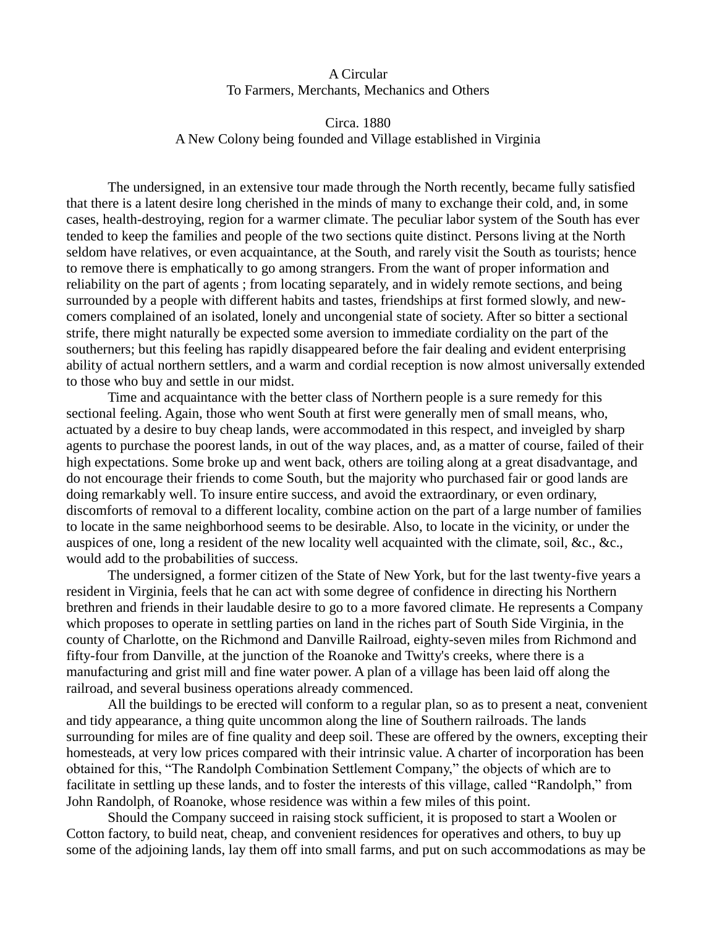## A Circular To Farmers, Merchants, Mechanics and Others

## Circa. 1880 A New Colony being founded and Village established in Virginia

The undersigned, in an extensive tour made through the North recently, became fully satisfied that there is a latent desire long cherished in the minds of many to exchange their cold, and, in some cases, health-destroying, region for a warmer climate. The peculiar labor system of the South has ever tended to keep the families and people of the two sections quite distinct. Persons living at the North seldom have relatives, or even acquaintance, at the South, and rarely visit the South as tourists; hence to remove there is emphatically to go among strangers. From the want of proper information and reliability on the part of agents ; from locating separately, and in widely remote sections, and being surrounded by a people with different habits and tastes, friendships at first formed slowly, and newcomers complained of an isolated, lonely and uncongenial state of society. After so bitter a sectional strife, there might naturally be expected some aversion to immediate cordiality on the part of the southerners; but this feeling has rapidly disappeared before the fair dealing and evident enterprising ability of actual northern settlers, and a warm and cordial reception is now almost universally extended to those who buy and settle in our midst.

Time and acquaintance with the better class of Northern people is a sure remedy for this sectional feeling. Again, those who went South at first were generally men of small means, who, actuated by a desire to buy cheap lands, were accommodated in this respect, and inveigled by sharp agents to purchase the poorest lands, in out of the way places, and, as a matter of course, failed of their high expectations. Some broke up and went back, others are toiling along at a great disadvantage, and do not encourage their friends to come South, but the majority who purchased fair or good lands are doing remarkably well. To insure entire success, and avoid the extraordinary, or even ordinary, discomforts of removal to a different locality, combine action on the part of a large number of families to locate in the same neighborhood seems to be desirable. Also, to locate in the vicinity, or under the auspices of one, long a resident of the new locality well acquainted with the climate, soil, &c., &c., would add to the probabilities of success.

The undersigned, a former citizen of the State of New York, but for the last twenty-five years a resident in Virginia, feels that he can act with some degree of confidence in directing his Northern brethren and friends in their laudable desire to go to a more favored climate. He represents a Company which proposes to operate in settling parties on land in the riches part of South Side Virginia, in the county of Charlotte, on the Richmond and Danville Railroad, eighty-seven miles from Richmond and fifty-four from Danville, at the junction of the Roanoke and Twitty's creeks, where there is a manufacturing and grist mill and fine water power. A plan of a village has been laid off along the railroad, and several business operations already commenced.

All the buildings to be erected will conform to a regular plan, so as to present a neat, convenient and tidy appearance, a thing quite uncommon along the line of Southern railroads. The lands surrounding for miles are of fine quality and deep soil. These are offered by the owners, excepting their homesteads, at very low prices compared with their intrinsic value. A charter of incorporation has been obtained for this, "The Randolph Combination Settlement Company," the objects of which are to facilitate in settling up these lands, and to foster the interests of this village, called "Randolph," from John Randolph, of Roanoke, whose residence was within a few miles of this point.

Should the Company succeed in raising stock sufficient, it is proposed to start a Woolen or Cotton factory, to build neat, cheap, and convenient residences for operatives and others, to buy up some of the adjoining lands, lay them off into small farms, and put on such accommodations as may be